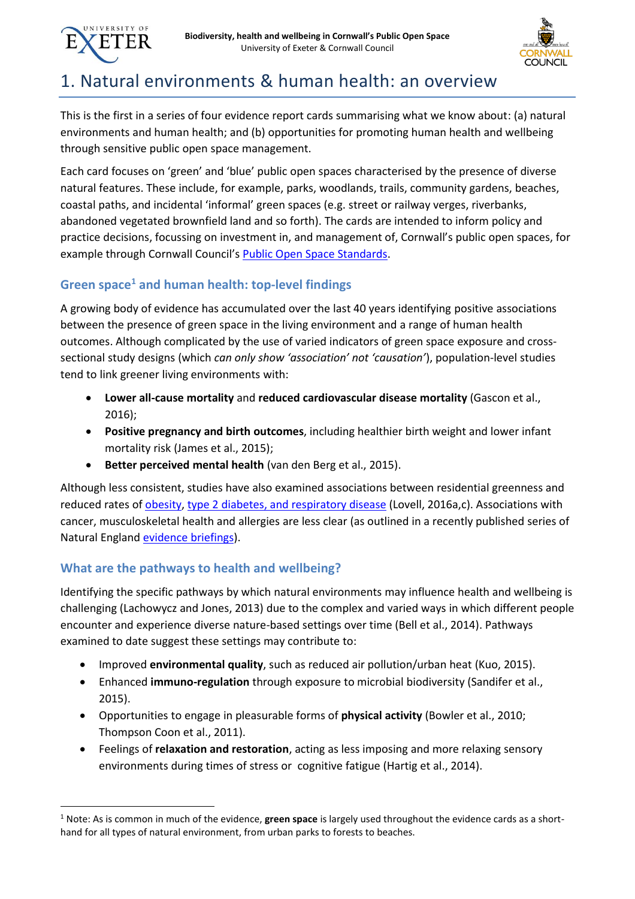



# 1. Natural environments & human health: an overview

This is the first in a series of four evidence report cards summarising what we know about: (a) natural environments and human health; and (b) opportunities for promoting human health and wellbeing through sensitive public open space management.

Each card focuses on 'green' and 'blue' public open spaces characterised by the presence of diverse natural features. These include, for example, parks, woodlands, trails, community gardens, beaches, coastal paths, and incidental 'informal' green spaces (e.g. street or railway verges, riverbanks, abandoned vegetated brownfield land and so forth). The cards are intended to inform policy and practice decisions, focussing on investment in, and management of, Cornwall's public open spaces, for example through Cornwall Council's [Public Open Space Standards.](https://www.cornwall.gov.uk/environment-and-planning/parks-and-open-spaces/open-space-strategy-standards/)

# **Green space<sup>1</sup> and human health: top-level findings**

A growing body of evidence has accumulated over the last 40 years identifying positive associations between the presence of green space in the living environment and a range of human health outcomes. Although complicated by the use of varied indicators of green space exposure and crosssectional study designs (which *can only show 'association' not 'causation'*), population-level studies tend to link greener living environments with:

- **Lower all-cause mortality** and **reduced cardiovascular disease mortality** (Gascon et al., 2016);
- **Positive pregnancy and birth outcomes**, including healthier birth weight and lower infant mortality risk (James et al., 2015);
- **Better perceived mental health** (van den Berg et al., 2015).

Although less consistent, studies have also examined associations between residential greenness and reduced rates of **obesity**, [type 2 diabetes, and respiratory disease](https://beyondgreenspace.files.wordpress.com/2016/07/ein020_edition_1.pdf) (Lovell, 2016a,c). Associations with cancer, musculoskeletal health and allergies are less clear (as outlined in a recently published series of Natural England [evidence briefings\)](https://beyondgreenspace.net/2016/07/15/natural-england-evidence-summaries/).

# **What are the pathways to health and wellbeing?**

 $\overline{a}$ 

Identifying the specific pathways by which natural environments may influence health and wellbeing is challenging (Lachowycz and Jones, 2013) due to the complex and varied ways in which different people encounter and experience diverse nature-based settings over time (Bell et al., 2014). Pathways examined to date suggest these settings may contribute to:

- Improved **environmental quality**, such as reduced air pollution/urban heat (Kuo, 2015).
- Enhanced **immuno-regulation** through exposure to microbial biodiversity (Sandifer et al., 2015).
- Opportunities to engage in pleasurable forms of **physical activity** (Bowler et al., 2010; Thompson Coon et al., 2011).
- Feelings of **relaxation and restoration**, acting as less imposing and more relaxing sensory environments during times of stress or cognitive fatigue (Hartig et al., 2014).

<sup>1</sup> Note: As is common in much of the evidence, **green space** is largely used throughout the evidence cards as a shorthand for all types of natural environment, from urban parks to forests to beaches.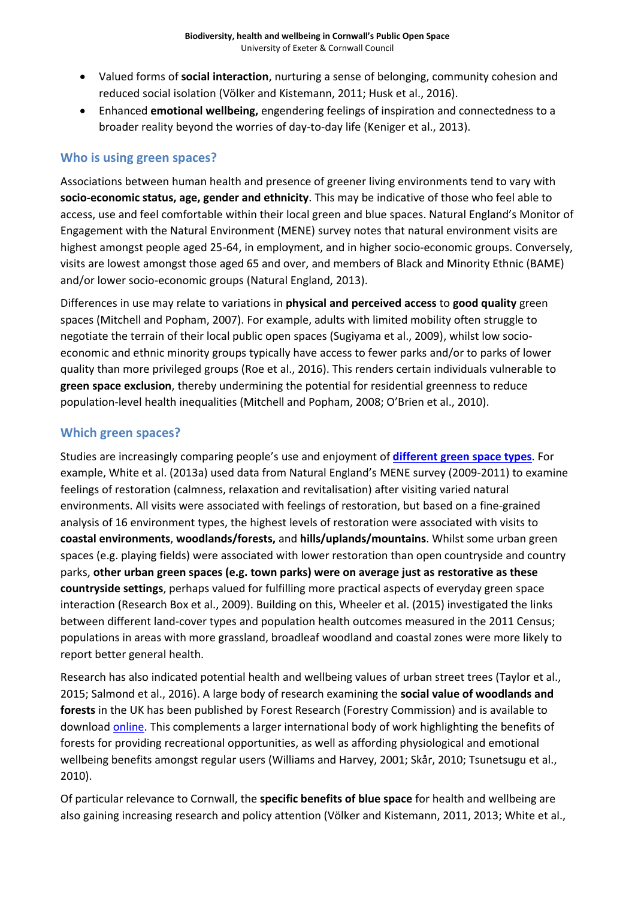- Valued forms of **social interaction**, nurturing a sense of belonging, community cohesion and reduced social isolation (Völker and Kistemann, 2011; Husk et al., 2016).
- Enhanced **emotional wellbeing,** engendering feelings of inspiration and connectedness to a broader reality beyond the worries of day-to-day life (Keniger et al., 2013).

#### **Who is using green spaces?**

Associations between human health and presence of greener living environments tend to vary with **socio-economic status, age, gender and ethnicity**. This may be indicative of those who feel able to access, use and feel comfortable within their local green and blue spaces. Natural England's Monitor of Engagement with the Natural Environment (MENE) survey notes that natural environment visits are highest amongst people aged 25-64, in employment, and in higher socio-economic groups. Conversely, visits are lowest amongst those aged 65 and over, and members of Black and Minority Ethnic (BAME) and/or lower socio-economic groups (Natural England, 2013).

Differences in use may relate to variations in **physical and perceived access** to **good quality** green spaces (Mitchell and Popham, 2007). For example, adults with limited mobility often struggle to negotiate the terrain of their local public open spaces (Sugiyama et al., 2009), whilst low socioeconomic and ethnic minority groups typically have access to fewer parks and/or to parks of lower quality than more privileged groups (Roe et al., 2016). This renders certain individuals vulnerable to **green space exclusion**, thereby undermining the potential for residential greenness to reduce population-level health inequalities (Mitchell and Popham, 2008; O'Brien et al., 2010).

#### **Which green spaces?**

Studies are increasingly comparing people's use and enjoyment of **[different green space types](http://publications.naturalengland.org.uk/publication/48001)**. For example, White et al. (2013a) used data from Natural England's MENE survey (2009-2011) to examine feelings of restoration (calmness, relaxation and revitalisation) after visiting varied natural environments. All visits were associated with feelings of restoration, but based on a fine-grained analysis of 16 environment types, the highest levels of restoration were associated with visits to **coastal environments**, **woodlands/forests,** and **hills/uplands/mountains**. Whilst some urban green spaces (e.g. playing fields) were associated with lower restoration than open countryside and country parks, **other urban green spaces (e.g. town parks) were on average just as restorative as these countryside settings**, perhaps valued for fulfilling more practical aspects of everyday green space interaction (Research Box et al., 2009). Building on this, Wheeler et al. (2015) investigated the links between different land-cover types and population health outcomes measured in the 2011 Census; populations in areas with more grassland, broadleaf woodland and coastal zones were more likely to report better general health.

Research has also indicated potential health and wellbeing values of urban street trees (Taylor et al., 2015; Salmond et al., 2016). A large body of research examining the **social value of woodlands and forests** in the UK has been published by Forest Research (Forestry Commission) and is available to download [online.](https://www.gov.uk/government/organisations/forestry-commission) This complements a larger international body of work highlighting the benefits of forests for providing recreational opportunities, as well as affording physiological and emotional wellbeing benefits amongst regular users (Williams and Harvey, 2001; Skår, 2010; Tsunetsugu et al., 2010).

Of particular relevance to Cornwall, the **specific benefits of blue space** for health and wellbeing are also gaining increasing research and policy attention (Völker and Kistemann, 2011, 2013; White et al.,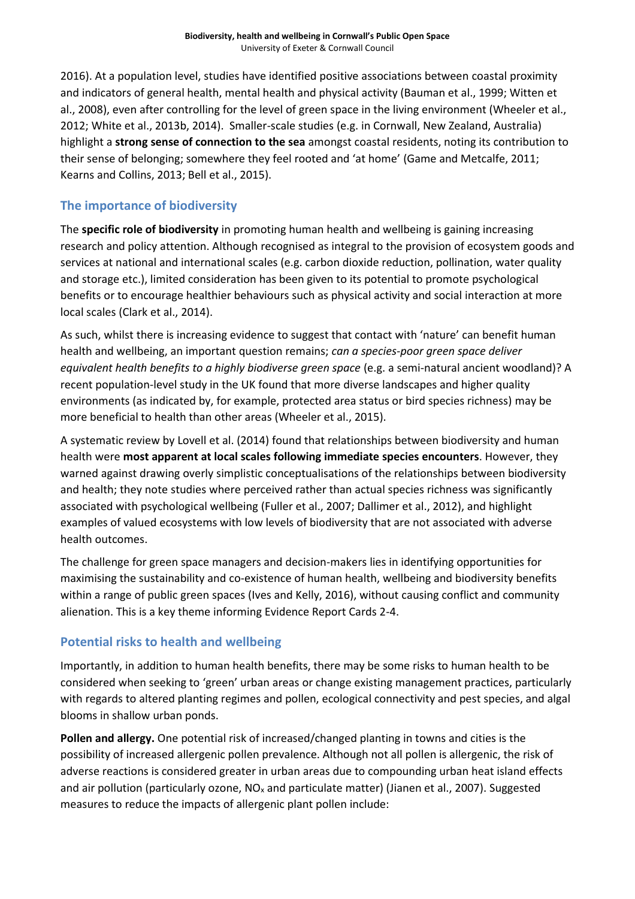2016). At a population level, studies have identified positive associations between coastal proximity and indicators of general health, mental health and physical activity (Bauman et al., 1999; Witten et al., 2008), even after controlling for the level of green space in the living environment (Wheeler et al., 2012; White et al., 2013b, 2014). Smaller-scale studies (e.g. in Cornwall, New Zealand, Australia) highlight a **strong sense of connection to the sea** amongst coastal residents, noting its contribution to their sense of belonging; somewhere they feel rooted and 'at home' (Game and Metcalfe, 2011; Kearns and Collins, 2013; Bell et al., 2015).

### **The importance of biodiversity**

The **specific role of biodiversity** in promoting human health and wellbeing is gaining increasing research and policy attention. Although recognised as integral to the provision of ecosystem goods and services at national and international scales (e.g. carbon dioxide reduction, pollination, water quality and storage etc.), limited consideration has been given to its potential to promote psychological benefits or to encourage healthier behaviours such as physical activity and social interaction at more local scales (Clark et al., 2014).

As such, whilst there is increasing evidence to suggest that contact with 'nature' can benefit human health and wellbeing, an important question remains; *can a species-poor green space deliver equivalent health benefits to a highly biodiverse green space* (e.g. a semi-natural ancient woodland)? A recent population-level study in the UK found that more diverse landscapes and higher quality environments (as indicated by, for example, protected area status or bird species richness) may be more beneficial to health than other areas (Wheeler et al., 2015).

A systematic review by Lovell et al. (2014) found that relationships between biodiversity and human health were **most apparent at local scales following immediate species encounters**. However, they warned against drawing overly simplistic conceptualisations of the relationships between biodiversity and health; they note studies where perceived rather than actual species richness was significantly associated with psychological wellbeing (Fuller et al., 2007; Dallimer et al., 2012), and highlight examples of valued ecosystems with low levels of biodiversity that are not associated with adverse health outcomes.

The challenge for green space managers and decision-makers lies in identifying opportunities for maximising the sustainability and co-existence of human health, wellbeing and biodiversity benefits within a range of public green spaces (Ives and Kelly, 2016), without causing conflict and community alienation. This is a key theme informing Evidence Report Cards 2-4.

## **Potential risks to health and wellbeing**

Importantly, in addition to human health benefits, there may be some risks to human health to be considered when seeking to 'green' urban areas or change existing management practices, particularly with regards to altered planting regimes and pollen, ecological connectivity and pest species, and algal blooms in shallow urban ponds.

**Pollen and allergy.** One potential risk of increased/changed planting in towns and cities is the possibility of increased allergenic pollen prevalence. Although not all pollen is allergenic, the risk of adverse reactions is considered greater in urban areas due to compounding urban heat island effects and air pollution (particularly ozone,  $NO_x$  and particulate matter) (Jianen et al., 2007). Suggested measures to reduce the impacts of allergenic plant pollen include: